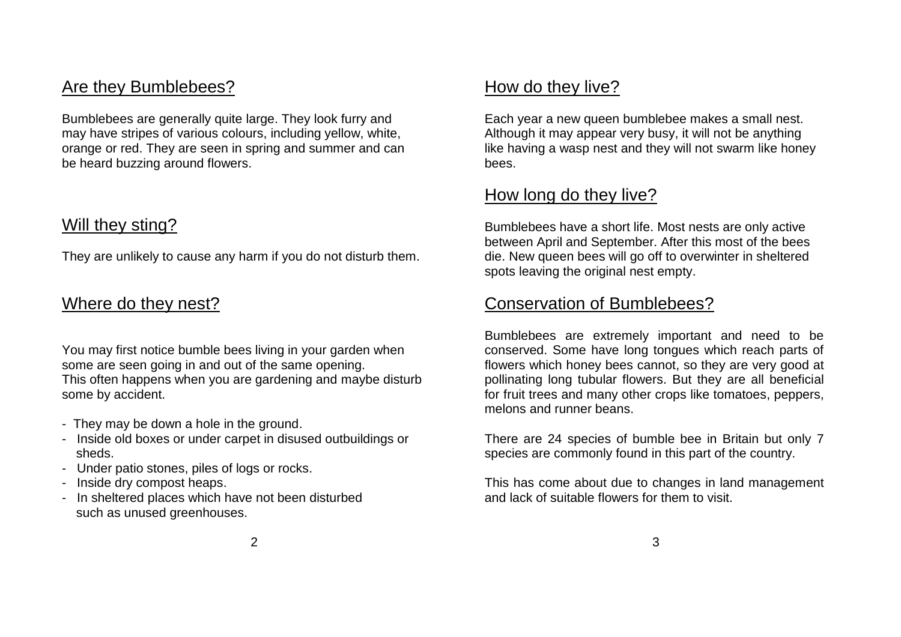#### Are they Bumblebees?

Bumblebees are generally quite large. They look furry and may have stripes of various colours, including yellow, white, orange or red. They are seen in spring and summer and can be heard buzzing around flowers.

#### Will they sting?

They are unlikely to cause any harm if you do not disturb them.

#### Where do they nest?

You may first notice bumble bees living in your garden when some are seen going in and out of the same opening. This often happens when you are gardening and maybe disturb some by accident.

- They may be down a hole in the ground.
- Inside old boxes or under carpet in disused outbuildings or sheds.
- Under patio stones, piles of logs or rocks.
- Inside dry compost heaps.
- In sheltered places which have not been disturbed such as unused greenhouses.

#### How do they live?

Each year a new queen bumblebee makes a small nest. Although it may appear very busy, it will not be anything like having a wasp nest and they will not swarm like honey bees.

#### How long do they live?

Bumblebees have a short life. Most nests are only active between April and September. After this most of the bees die. New queen bees will go off to overwinter in sheltered spots leaving the original nest empty.

#### Conservation of Bumblebees?

Bumblebees are extremely important and need to be conserved. Some have long tongues which reach parts of flowers which honey bees cannot, so they are very good at pollinating long tubular flowers. But they are all beneficial for fruit trees and many other crops like tomatoes, peppers, melons and runner beans.

There are 24 species of bumble bee in Britain but only 7 species are commonly found in this part of the country.

This has come about due to changes in land management and lack of suitable flowers for them to visit.